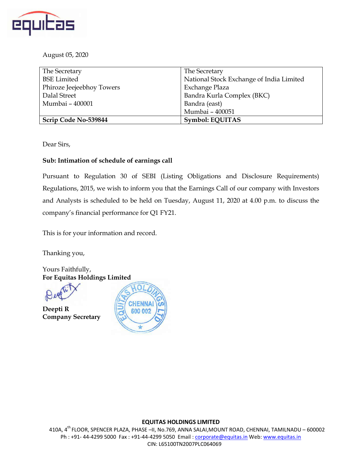

August 05, 2020

| The Secretary             | The Secretary                            |
|---------------------------|------------------------------------------|
| <b>BSE Limited</b>        | National Stock Exchange of India Limited |
| Phiroze Jeejeebhoy Towers | Exchange Plaza                           |
| Dalal Street              | Bandra Kurla Complex (BKC)               |
| Mumbai - 400001           | Bandra (east)                            |
|                           | Mumbai - 400051                          |
| Scrip Code No-539844      | <b>Symbol: EQUITAS</b>                   |

Dear Sirs,

#### **Sub: Intimation of schedule of earnings call**

Pursuant to Regulation 30 of SEBI (Listing Obligations and Disclosure Requirements) Regulations, 2015, we wish to inform you that the Earnings Call of our company with Investors and Analysts is scheduled to be held on Tuesday, August 11, 2020 at 4.00 p.m. to discuss the company's financial performance for Q1 FY21.

This is for your information and record.

Thanking you,

Yours Faithfully, **For Equitas Holdings Limited**

**Deepti R Company Secretary**



#### **EQUITAS HOLDINGS LIMITED**

410A, 4th FLOOR, SPENCER PLAZA, PHASE –II, No.769, ANNA SALAI,MOUNT ROAD, CHENNAI, TAMILNADU – 600002 Ph : +91- 44-4299 5000 Fax : +91-44-4299 5050 Email : corporate@equitas.in Web: www.equitas.in CIN: L65100TN2007PLC064069